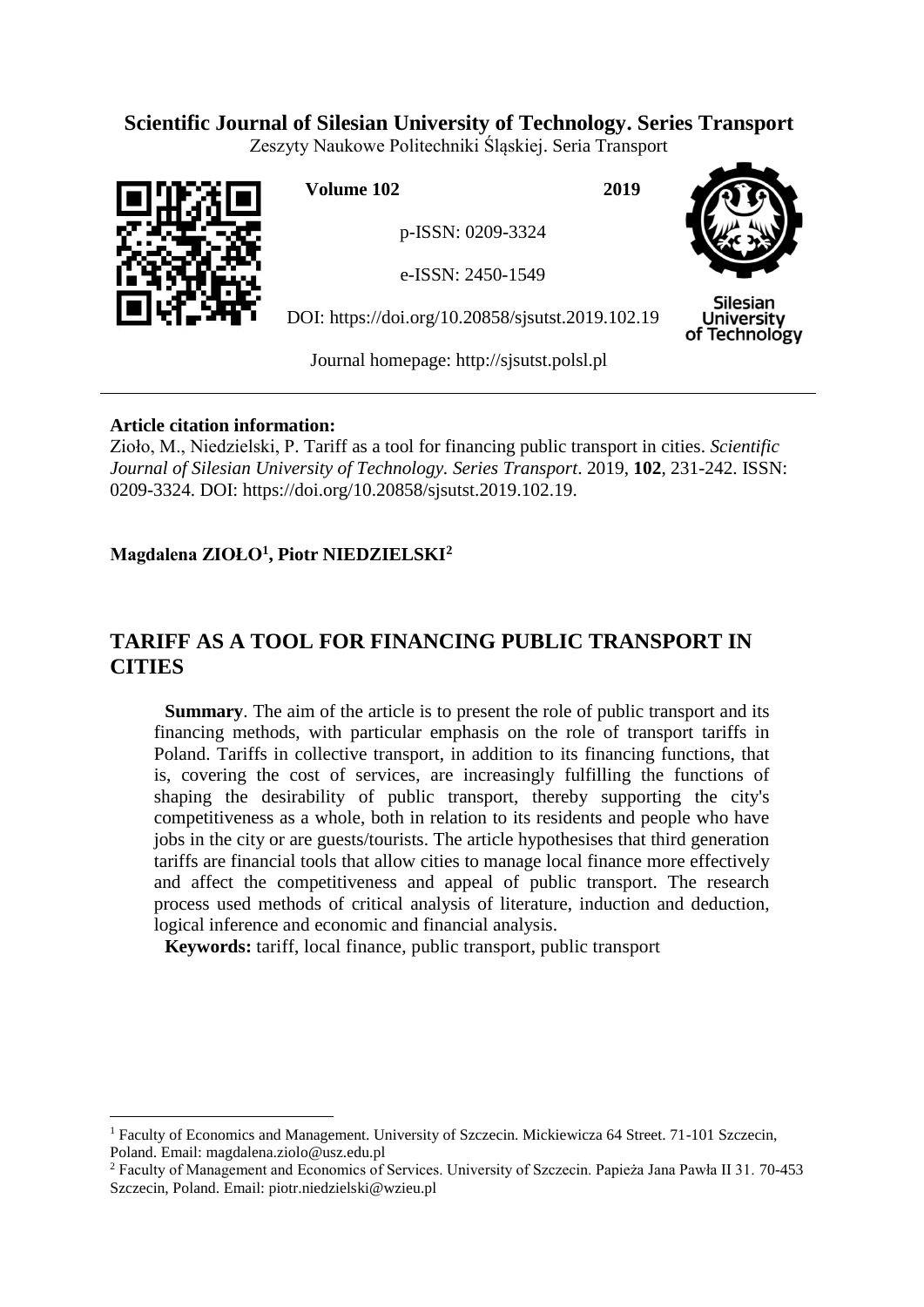# **Scientific Journal of Silesian University of Technology. Series Transport**

Zeszyty Naukowe Politechniki Śląskiej. Seria Transport



 $\overline{a}$ 

**Volume 102 2019**

p-ISSN: 0209-3324

e-ISSN: 2450-1549

DOI: https://doi.org/10.20858/sjsutst.2019.102.19



**Silesian University** of Technology

Journal homepage: [http://sjsutst.polsl.pl](http://sjsutst.polsl.pl/)

## **Article citation information:**

Zioło, M., Niedzielski, P. Tariff as a tool for financing public transport in cities. *Scientific Journal of Silesian University of Technology. Series Transport*. 2019, **102**, 231-242. ISSN: 0209-3324. DOI: https://doi.org/10.20858/sjsutst.2019.102.19.

# **Magdalena ZIOŁO<sup>1</sup> , Piotr NIEDZIELSKI<sup>2</sup>**

# **TARIFF AS A TOOL FOR FINANCING PUBLIC TRANSPORT IN CITIES**

**Summary**. The aim of the article is to present the role of public transport and its financing methods, with particular emphasis on the role of transport tariffs in Poland. Tariffs in collective transport, in addition to its financing functions, that is, covering the cost of services, are increasingly fulfilling the functions of shaping the desirability of public transport, thereby supporting the city's competitiveness as a whole, both in relation to its residents and people who have jobs in the city or are guests/tourists. The article hypothesises that third generation tariffs are financial tools that allow cities to manage local finance more effectively and affect the competitiveness and appeal of public transport. The research process used methods of critical analysis of literature, induction and deduction, logical inference and economic and financial analysis.

**Keywords:** tariff, local finance, public transport, public transport

<sup>1</sup> Faculty of Economics and Management. University of Szczecin. Mickiewicza 64 Street. 71-101 Szczecin, Poland. Email: magdalena.ziolo@usz.edu.pl

<sup>2</sup> Faculty of Management and Economics of Services. University of Szczecin. Papieża Jana Pawła II 31. 70-453 Szczecin, Poland. Email: piotr.niedzielski@wzieu.pl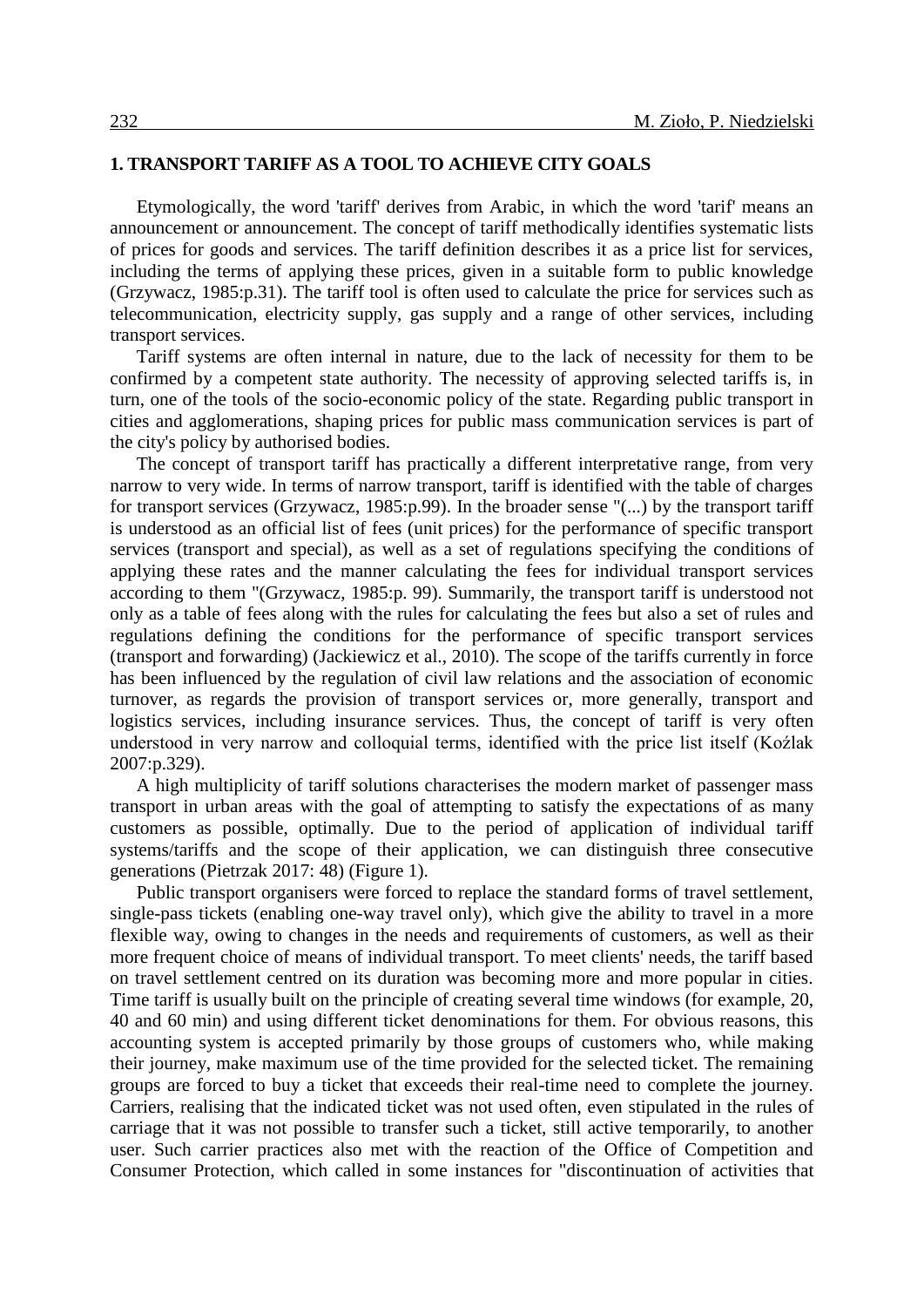### **1. TRANSPORT TARIFF AS A TOOL TO ACHIEVE CITY GOALS**

Etymologically, the word 'tariff' derives from Arabic, in which the word 'tarif' means an announcement or announcement. The concept of tariff methodically identifies systematic lists of prices for goods and services. The tariff definition describes it as a price list for services, including the terms of applying these prices, given in a suitable form to public knowledge (Grzywacz, 1985:p.31). The tariff tool is often used to calculate the price for services such as telecommunication, electricity supply, gas supply and a range of other services, including transport services.

Tariff systems are often internal in nature, due to the lack of necessity for them to be confirmed by a competent state authority. The necessity of approving selected tariffs is, in turn, one of the tools of the socio-economic policy of the state. Regarding public transport in cities and agglomerations, shaping prices for public mass communication services is part of the city's policy by authorised bodies.

The concept of transport tariff has practically a different interpretative range, from very narrow to very wide. In terms of narrow transport, tariff is identified with the table of charges for transport services (Grzywacz, 1985:p.99). In the broader sense "(...) by the transport tariff is understood as an official list of fees (unit prices) for the performance of specific transport services (transport and special), as well as a set of regulations specifying the conditions of applying these rates and the manner calculating the fees for individual transport services according to them "(Grzywacz, 1985:p. 99). Summarily, the transport tariff is understood not only as a table of fees along with the rules for calculating the fees but also a set of rules and regulations defining the conditions for the performance of specific transport services (transport and forwarding) (Jackiewicz et al., 2010). The scope of the tariffs currently in force has been influenced by the regulation of civil law relations and the association of economic turnover, as regards the provision of transport services or, more generally, transport and logistics services, including insurance services. Thus, the concept of tariff is very often understood in very narrow and colloquial terms, identified with the price list itself (Koźlak 2007:p.329).

A high multiplicity of tariff solutions characterises the modern market of passenger mass transport in urban areas with the goal of attempting to satisfy the expectations of as many customers as possible, optimally. Due to the period of application of individual tariff systems/tariffs and the scope of their application, we can distinguish three consecutive generations (Pietrzak 2017: 48) (Figure 1).

Public transport organisers were forced to replace the standard forms of travel settlement, single-pass tickets (enabling one-way travel only), which give the ability to travel in a more flexible way, owing to changes in the needs and requirements of customers, as well as their more frequent choice of means of individual transport. To meet clients' needs, the tariff based on travel settlement centred on its duration was becoming more and more popular in cities. Time tariff is usually built on the principle of creating several time windows (for example, 20, 40 and 60 min) and using different ticket denominations for them. For obvious reasons, this accounting system is accepted primarily by those groups of customers who, while making their journey, make maximum use of the time provided for the selected ticket. The remaining groups are forced to buy a ticket that exceeds their real-time need to complete the journey. Carriers, realising that the indicated ticket was not used often, even stipulated in the rules of carriage that it was not possible to transfer such a ticket, still active temporarily, to another user. Such carrier practices also met with the reaction of the Office of Competition and Consumer Protection, which called in some instances for "discontinuation of activities that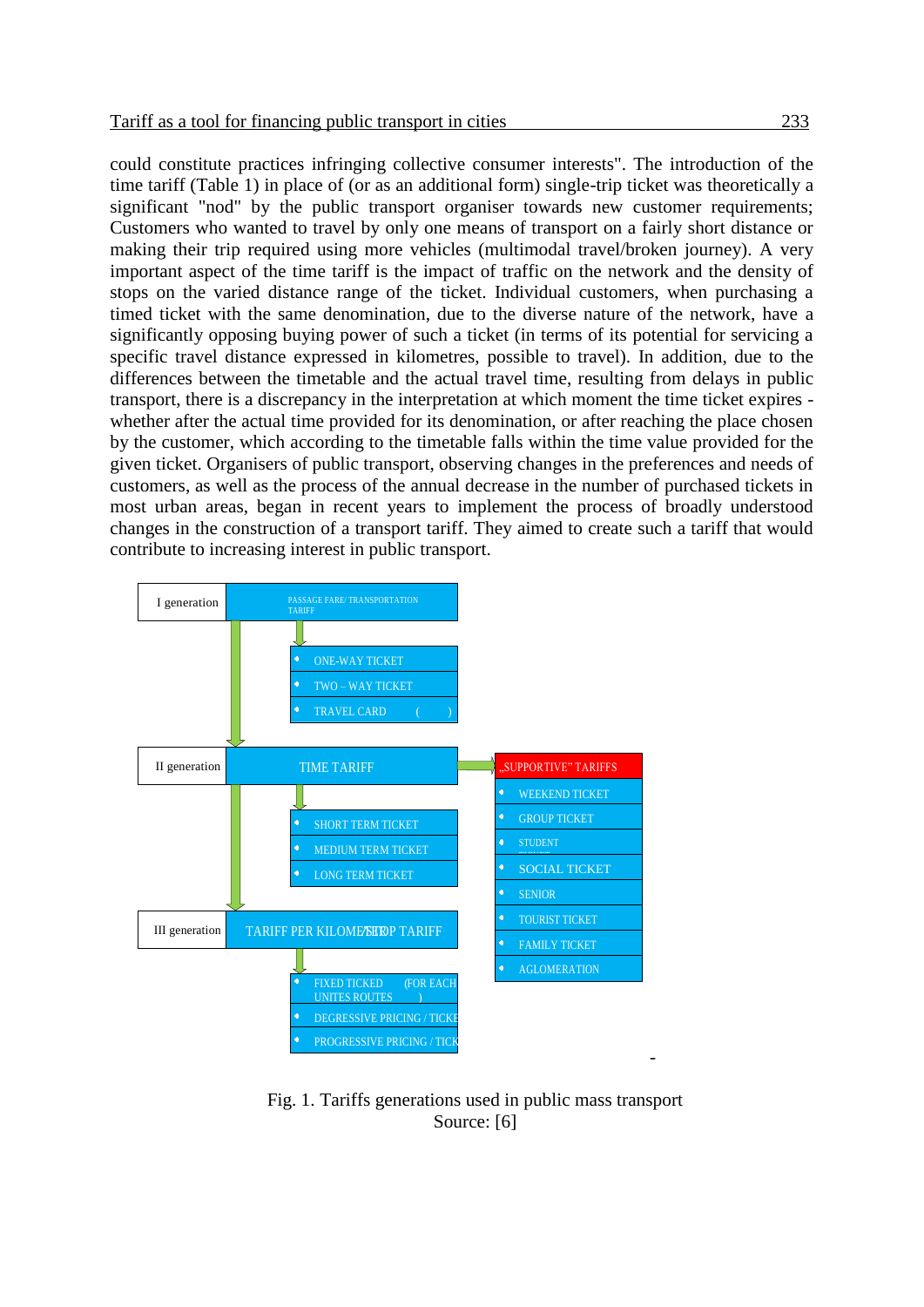could constitute practices infringing collective consumer interests". The introduction of the time tariff (Table 1) in place of (or as an additional form) single-trip ticket was theoretically a significant "nod" by the public transport organiser towards new customer requirements; Customers who wanted to travel by only one means of transport on a fairly short distance or making their trip required using more vehicles (multimodal travel/broken journey). A very important aspect of the time tariff is the impact of traffic on the network and the density of stops on the varied distance range of the ticket. Individual customers, when purchasing a timed ticket with the same denomination, due to the diverse nature of the network, have a significantly opposing buying power of such a ticket (in terms of its potential for servicing a specific travel distance expressed in kilometres, possible to travel). In addition, due to the differences between the timetable and the actual travel time, resulting from delays in public transport, there is a discrepancy in the interpretation at which moment the time ticket expires whether after the actual time provided for its denomination, or after reaching the place chosen by the customer, which according to the timetable falls within the time value provided for the given ticket. Organisers of public transport, observing changes in the preferences and needs of customers, as well as the process of the annual decrease in the number of purchased tickets in most urban areas, began in recent years to implement the process of broadly understood changes in the construction of a transport tariff. They aimed to create such a tariff that would contribute to increasing interest in public transport.



Fig. 1. Tariffs generations used in public mass transport Source: [6]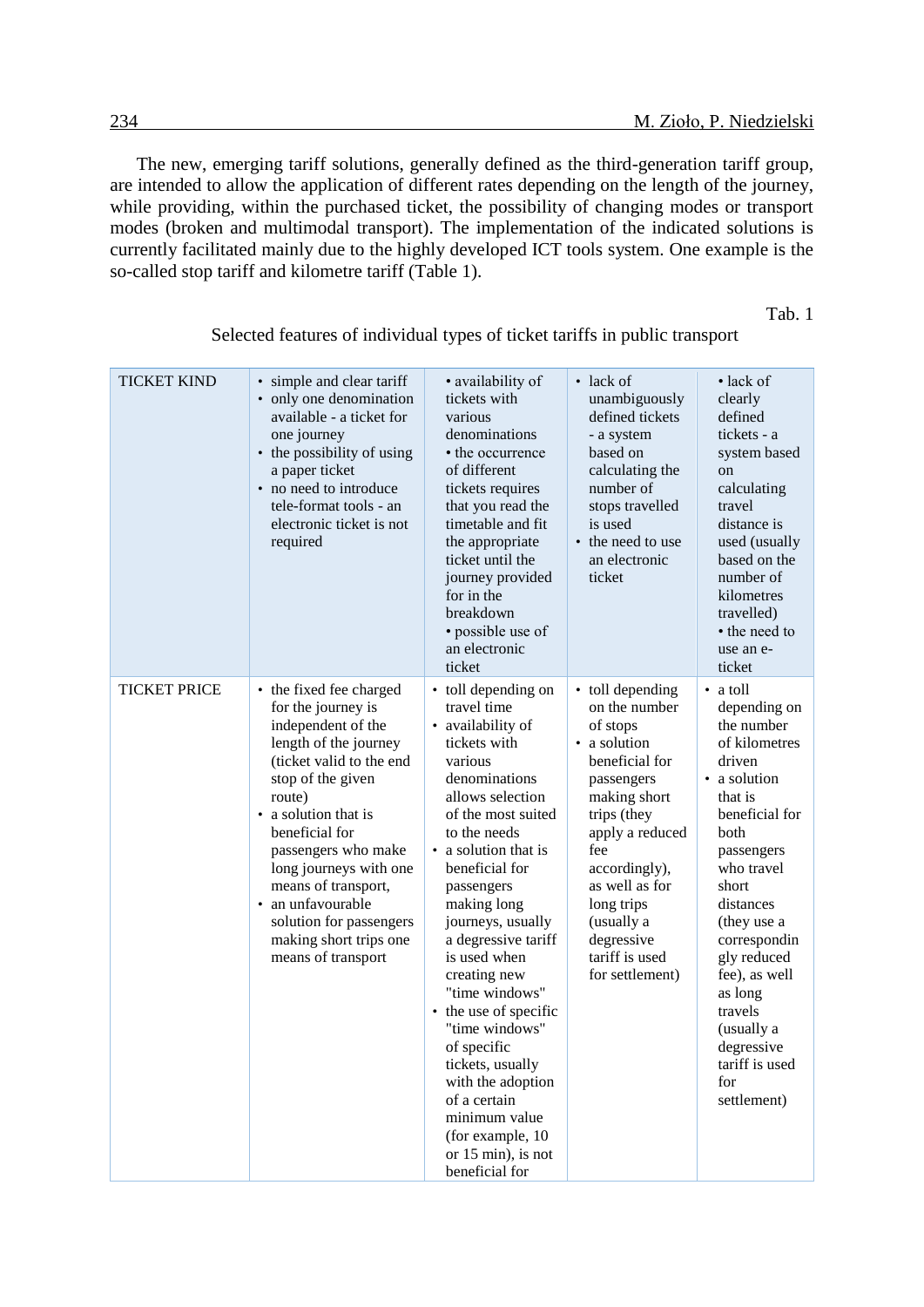The new, emerging tariff solutions, generally defined as the third-generation tariff group, are intended to allow the application of different rates depending on the length of the journey, while providing, within the purchased ticket, the possibility of changing modes or transport modes (broken and multimodal transport). The implementation of the indicated solutions is currently facilitated mainly due to the highly developed ICT tools system. One example is the so-called stop tariff and kilometre tariff (Table 1).

Tab. 1

| TICKET KIND         | • simple and clear tariff<br>• only one denomination<br>available - a ticket for<br>one journey<br>• the possibility of using<br>a paper ticket<br>• no need to introduce<br>tele-format tools - an<br>electronic ticket is not<br>required                                                                                                                             | • availability of<br>tickets with<br>various<br>denominations<br>• the occurrence<br>of different<br>tickets requires<br>that you read the<br>timetable and fit<br>the appropriate<br>ticket until the<br>journey provided<br>for in the<br>breakdown<br>· possible use of<br>an electronic<br>ticket                                                                                                                                                                                                                                | • lack of<br>unambiguously<br>defined tickets<br>- a system<br>based on<br>calculating the<br>number of<br>stops travelled<br>is used<br>• the need to use<br>an electronic<br>ticket                                                                                    | $\bullet$ lack of<br>clearly<br>defined<br>tickets - a<br>system based<br>on<br>calculating<br>travel<br>distance is<br>used (usually<br>based on the<br>number of<br>kilometres<br>travelled)<br>• the need to<br>use an e-<br>ticket                                                                                            |
|---------------------|-------------------------------------------------------------------------------------------------------------------------------------------------------------------------------------------------------------------------------------------------------------------------------------------------------------------------------------------------------------------------|--------------------------------------------------------------------------------------------------------------------------------------------------------------------------------------------------------------------------------------------------------------------------------------------------------------------------------------------------------------------------------------------------------------------------------------------------------------------------------------------------------------------------------------|--------------------------------------------------------------------------------------------------------------------------------------------------------------------------------------------------------------------------------------------------------------------------|-----------------------------------------------------------------------------------------------------------------------------------------------------------------------------------------------------------------------------------------------------------------------------------------------------------------------------------|
| <b>TICKET PRICE</b> | • the fixed fee charged<br>for the journey is<br>independent of the<br>length of the journey<br>(ticket valid to the end<br>stop of the given<br>route)<br>• a solution that is<br>beneficial for<br>passengers who make<br>long journeys with one<br>means of transport,<br>an unfavourable<br>solution for passengers<br>making short trips one<br>means of transport | • toll depending on<br>travel time<br>• availability of<br>tickets with<br>various<br>denominations<br>allows selection<br>of the most suited<br>to the needs<br>• a solution that is<br>beneficial for<br>passengers<br>making long<br>journeys, usually<br>a degressive tariff<br>is used when<br>creating new<br>"time windows"<br>• the use of specific<br>"time windows"<br>of specific<br>tickets, usually<br>with the adoption<br>of a certain<br>minimum value<br>(for example, 10<br>or $15$ min), is not<br>beneficial for | • toll depending<br>on the number<br>of stops<br>• a solution<br>beneficial for<br>passengers<br>making short<br>trips (they<br>apply a reduced<br>fee<br>accordingly),<br>as well as for<br>long trips<br>(usually a<br>degressive<br>tariff is used<br>for settlement) | • a toll<br>depending on<br>the number<br>of kilometres<br>driven<br>• a solution<br>that is<br>beneficial for<br>both<br>passengers<br>who travel<br>short<br>distances<br>(they use a<br>correspondin<br>gly reduced<br>fee), as well<br>as long<br>travels<br>(usually a<br>degressive<br>tariff is used<br>for<br>settlement) |

Selected features of individual types of ticket tariffs in public transport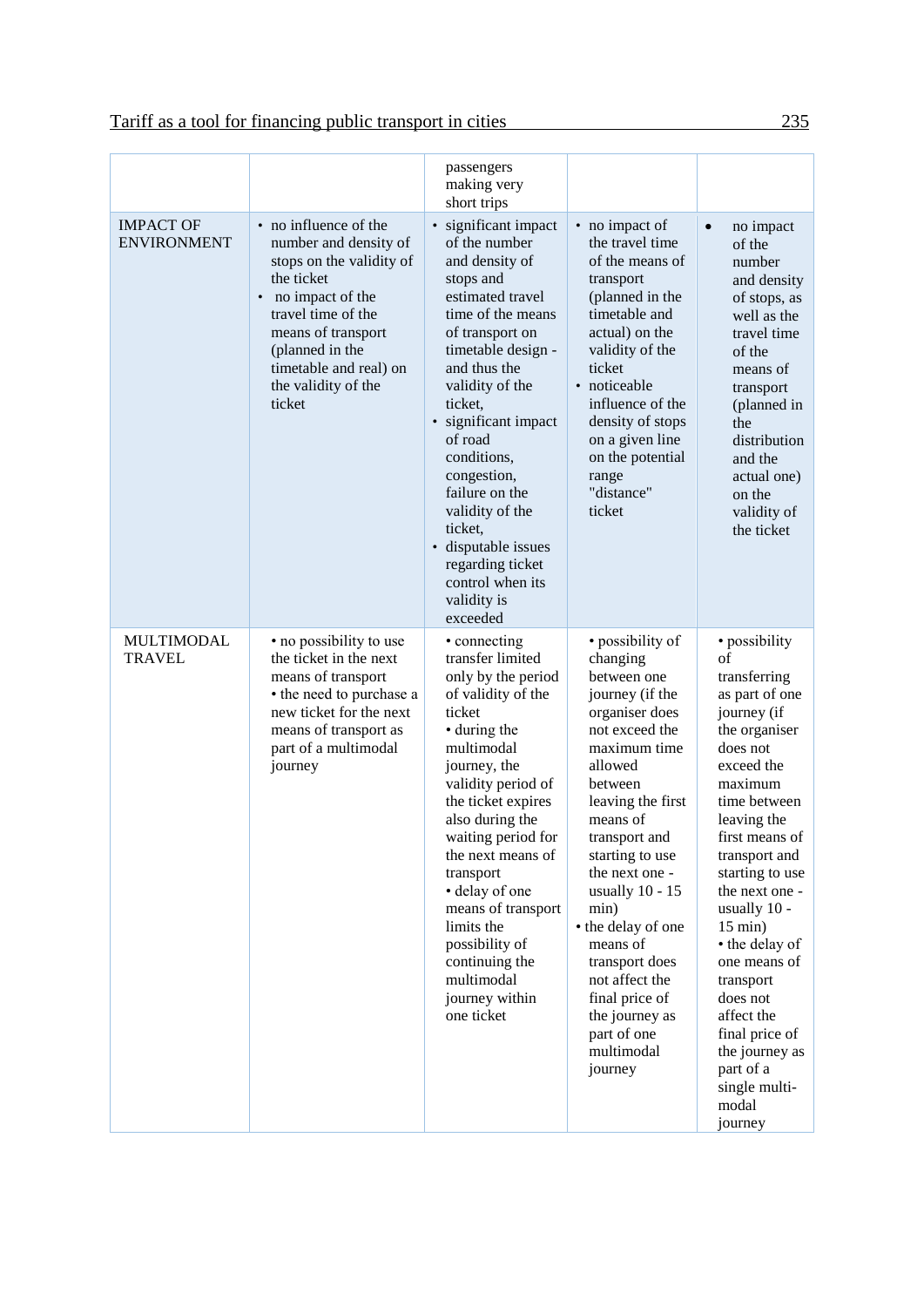|                                        |                                                                                                                                                                                                                                                   | passengers<br>making very<br>short trips                                                                                                                                                                                                                                                                                                                                                                        |                                                                                                                                                                                                                                                                                                                                                                                                                |                                                                                                                                                                                                                                                                                                                                                                                                                                        |
|----------------------------------------|---------------------------------------------------------------------------------------------------------------------------------------------------------------------------------------------------------------------------------------------------|-----------------------------------------------------------------------------------------------------------------------------------------------------------------------------------------------------------------------------------------------------------------------------------------------------------------------------------------------------------------------------------------------------------------|----------------------------------------------------------------------------------------------------------------------------------------------------------------------------------------------------------------------------------------------------------------------------------------------------------------------------------------------------------------------------------------------------------------|----------------------------------------------------------------------------------------------------------------------------------------------------------------------------------------------------------------------------------------------------------------------------------------------------------------------------------------------------------------------------------------------------------------------------------------|
| <b>IMPACT OF</b><br><b>ENVIRONMENT</b> | no influence of the<br>$\bullet$<br>number and density of<br>stops on the validity of<br>the ticket<br>no impact of the<br>travel time of the<br>means of transport<br>(planned in the<br>timetable and real) on<br>the validity of the<br>ticket | · significant impact<br>of the number<br>and density of<br>stops and<br>estimated travel<br>time of the means<br>of transport on<br>timetable design -<br>and thus the<br>validity of the<br>ticket,<br>· significant impact<br>of road<br>conditions,<br>congestion,<br>failure on the<br>validity of the<br>ticket,<br>· disputable issues<br>regarding ticket<br>control when its<br>validity is<br>exceeded | • no impact of<br>the travel time<br>of the means of<br>transport<br>(planned in the<br>timetable and<br>actual) on the<br>validity of the<br>ticket<br>· noticeable<br>influence of the<br>density of stops<br>on a given line<br>on the potential<br>range<br>"distance"<br>ticket                                                                                                                           | no impact<br>$\bullet$<br>of the<br>number<br>and density<br>of stops, as<br>well as the<br>travel time<br>of the<br>means of<br>transport<br>(planned in<br>the<br>distribution<br>and the<br>actual one)<br>on the<br>validity of<br>the ticket                                                                                                                                                                                      |
| MULTIMODAL<br><b>TRAVEL</b>            | • no possibility to use<br>the ticket in the next<br>means of transport<br>• the need to purchase a<br>new ticket for the next<br>means of transport as<br>part of a multimodal<br>journey                                                        | • connecting<br>transfer limited<br>only by the period<br>of validity of the<br>ticket<br>• during the<br>multimodal<br>journey, the<br>validity period of<br>the ticket expires<br>also during the<br>waiting period for<br>the next means of<br>transport<br>· delay of one<br>means of transport<br>limits the<br>possibility of<br>continuing the<br>multimodal<br>journey within<br>one ticket             | · possibility of<br>changing<br>between one<br>journey (if the<br>organiser does<br>not exceed the<br>maximum time<br>allowed<br>between<br>leaving the first<br>means of<br>transport and<br>starting to use<br>the next one -<br>usually $10 - 15$<br>min)<br>• the delay of one<br>means of<br>transport does<br>not affect the<br>final price of<br>the journey as<br>part of one<br>multimodal<br>journey | • possibility<br>of<br>transferring<br>as part of one<br>journey (if<br>the organiser<br>does not<br>exceed the<br>maximum<br>time between<br>leaving the<br>first means of<br>transport and<br>starting to use<br>the next one -<br>usually 10 -<br>$15 \text{ min}$ )<br>• the delay of<br>one means of<br>transport<br>does not<br>affect the<br>final price of<br>the journey as<br>part of a<br>single multi-<br>modal<br>journey |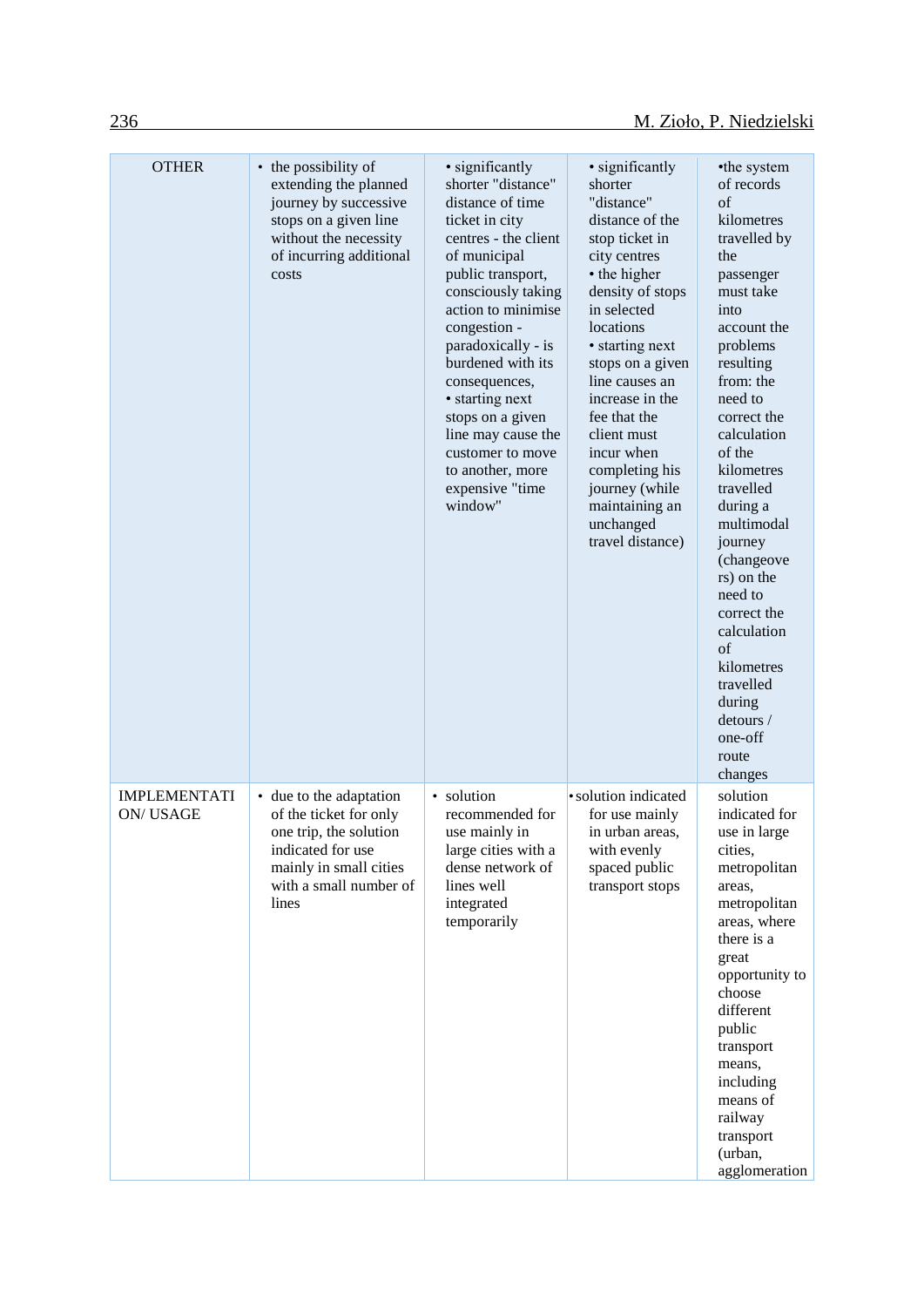| <b>OTHER</b>                    | • the possibility of<br>extending the planned<br>journey by successive<br>stops on a given line<br>without the necessity<br>of incurring additional<br>costs  | • significantly<br>shorter "distance"<br>distance of time<br>ticket in city<br>centres - the client<br>of municipal<br>public transport,<br>consciously taking<br>action to minimise<br>congestion -<br>paradoxically - is<br>burdened with its<br>consequences,<br>• starting next<br>stops on a given<br>line may cause the<br>customer to move<br>to another, more<br>expensive "time<br>window" | · significantly<br>shorter<br>"distance"<br>distance of the<br>stop ticket in<br>city centres<br>• the higher<br>density of stops<br>in selected<br>locations<br>• starting next<br>stops on a given<br>line causes an<br>increase in the<br>fee that the<br>client must<br>incur when<br>completing his<br>journey (while<br>maintaining an<br>unchanged<br>travel distance) | •the system<br>of records<br>$\sigma$ f<br>kilometres<br>travelled by<br>the<br>passenger<br>must take<br>into<br>account the<br>problems<br>resulting<br>from: the<br>need to<br>correct the<br>calculation<br>of the<br>kilometres<br>travelled<br>during a<br>multimodal<br>journey<br>(changeove<br>rs) on the<br>need to<br>correct the<br>calculation<br>$\sigma$ f<br>kilometres<br>travelled<br>during<br>detours /<br>one-off<br>route<br>changes |
|---------------------------------|---------------------------------------------------------------------------------------------------------------------------------------------------------------|-----------------------------------------------------------------------------------------------------------------------------------------------------------------------------------------------------------------------------------------------------------------------------------------------------------------------------------------------------------------------------------------------------|-------------------------------------------------------------------------------------------------------------------------------------------------------------------------------------------------------------------------------------------------------------------------------------------------------------------------------------------------------------------------------|------------------------------------------------------------------------------------------------------------------------------------------------------------------------------------------------------------------------------------------------------------------------------------------------------------------------------------------------------------------------------------------------------------------------------------------------------------|
| <b>IMPLEMENTATI</b><br>ON/USAGE | • due to the adaptation<br>of the ticket for only<br>one trip, the solution<br>indicated for use<br>mainly in small cities<br>with a small number of<br>lines | • solution<br>recommended for<br>use mainly in<br>large cities with a<br>dense network of<br>lines well<br>integrated<br>temporarily                                                                                                                                                                                                                                                                | · solution indicated<br>for use mainly<br>in urban areas.<br>with evenly<br>spaced public<br>transport stops                                                                                                                                                                                                                                                                  | solution<br>indicated for<br>use in large<br>cities,<br>metropolitan<br>areas,<br>metropolitan<br>areas, where<br>there is a<br>great<br>opportunity to<br>choose<br>different<br>public<br>transport<br>means,<br>including<br>means of<br>railway<br>transport<br>(urban,<br>agglomeration                                                                                                                                                               |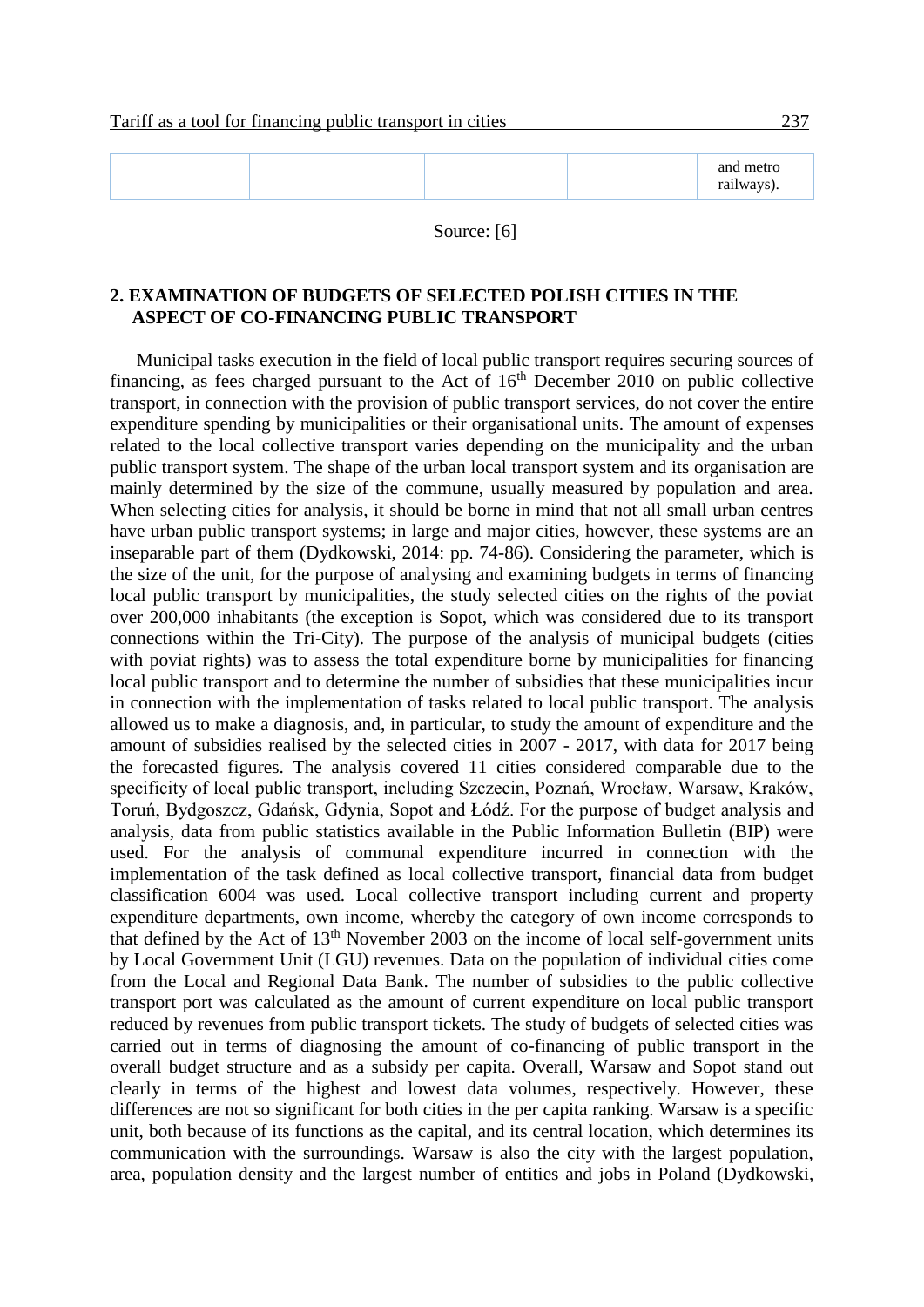### Source: [6]

### **2. EXAMINATION OF BUDGETS OF SELECTED POLISH CITIES IN THE ASPECT OF CO-FINANCING PUBLIC TRANSPORT**

Municipal tasks execution in the field of local public transport requires securing sources of financing, as fees charged pursuant to the Act of  $16<sup>th</sup>$  December 2010 on public collective transport, in connection with the provision of public transport services, do not cover the entire expenditure spending by municipalities or their organisational units. The amount of expenses related to the local collective transport varies depending on the municipality and the urban public transport system. The shape of the urban local transport system and its organisation are mainly determined by the size of the commune, usually measured by population and area. When selecting cities for analysis, it should be borne in mind that not all small urban centres have urban public transport systems; in large and major cities, however, these systems are an inseparable part of them (Dydkowski, 2014: pp. 74-86). Considering the parameter, which is the size of the unit, for the purpose of analysing and examining budgets in terms of financing local public transport by municipalities, the study selected cities on the rights of the poviat over 200,000 inhabitants (the exception is Sopot, which was considered due to its transport connections within the Tri-City). The purpose of the analysis of municipal budgets (cities with poviat rights) was to assess the total expenditure borne by municipalities for financing local public transport and to determine the number of subsidies that these municipalities incur in connection with the implementation of tasks related to local public transport. The analysis allowed us to make a diagnosis, and, in particular, to study the amount of expenditure and the amount of subsidies realised by the selected cities in 2007 - 2017, with data for 2017 being the forecasted figures. The analysis covered 11 cities considered comparable due to the specificity of local public transport, including Szczecin, Poznań, Wrocław, Warsaw, Kraków, Toruń, Bydgoszcz, Gdańsk, Gdynia, Sopot and Łódź. For the purpose of budget analysis and analysis, data from public statistics available in the Public Information Bulletin (BIP) were used. For the analysis of communal expenditure incurred in connection with the implementation of the task defined as local collective transport, financial data from budget classification 6004 was used. Local collective transport including current and property expenditure departments, own income, whereby the category of own income corresponds to that defined by the Act of  $13<sup>th</sup>$  November 2003 on the income of local self-government units by Local Government Unit (LGU) revenues. Data on the population of individual cities come from the Local and Regional Data Bank. The number of subsidies to the public collective transport port was calculated as the amount of current expenditure on local public transport reduced by revenues from public transport tickets. The study of budgets of selected cities was carried out in terms of diagnosing the amount of co-financing of public transport in the overall budget structure and as a subsidy per capita. Overall, Warsaw and Sopot stand out clearly in terms of the highest and lowest data volumes, respectively. However, these differences are not so significant for both cities in the per capita ranking. Warsaw is a specific unit, both because of its functions as the capital, and its central location, which determines its communication with the surroundings. Warsaw is also the city with the largest population, area, population density and the largest number of entities and jobs in Poland (Dydkowski,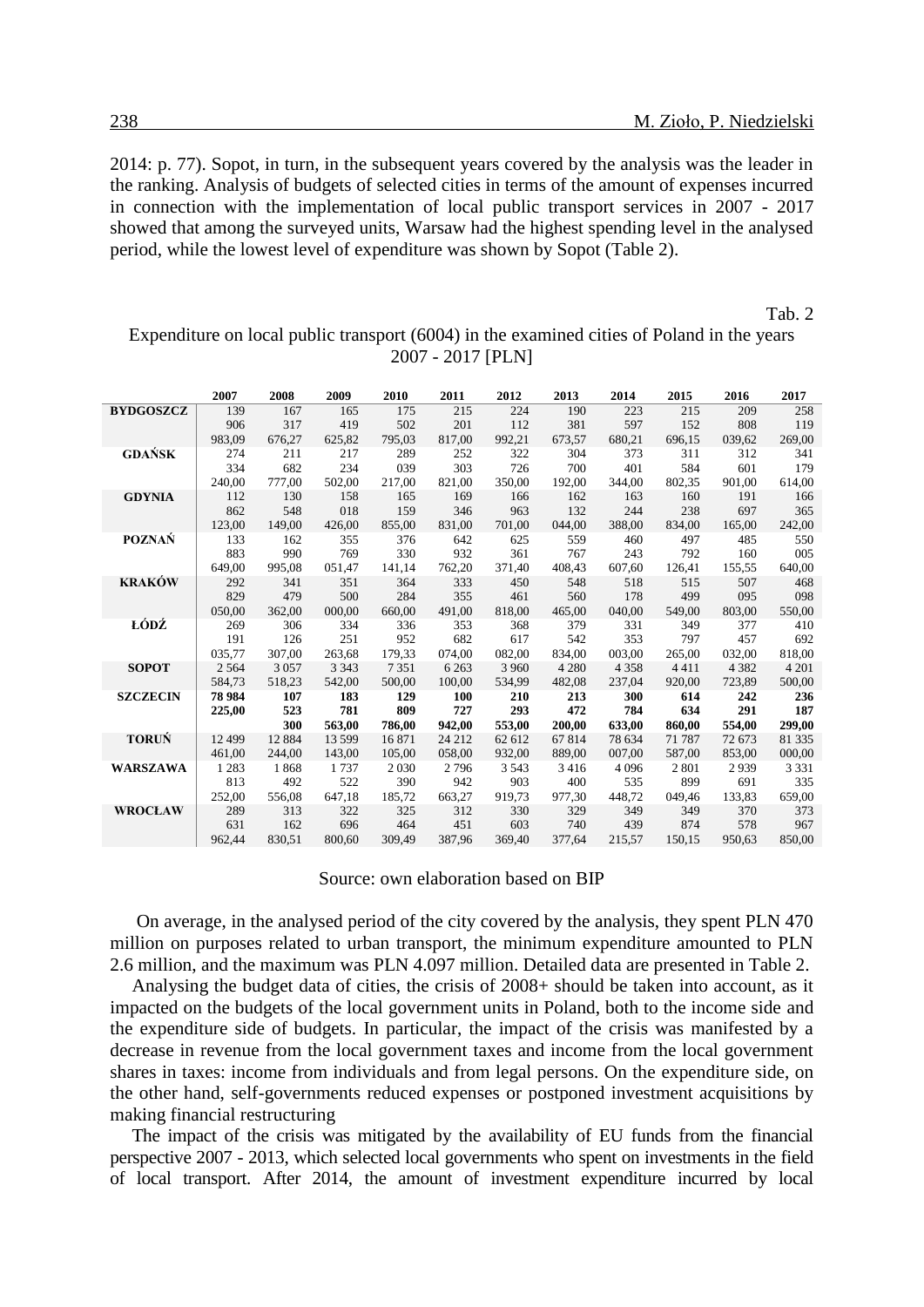2014: p. 77). Sopot, in turn, in the subsequent years covered by the analysis was the leader in the ranking. Analysis of budgets of selected cities in terms of the amount of expenses incurred in connection with the implementation of local public transport services in 2007 - 2017 showed that among the surveyed units, Warsaw had the highest spending level in the analysed period, while the lowest level of expenditure was shown by Sopot (Table 2).

#### Tab. 2

Expenditure on local public transport (6004) in the examined cities of Poland in the years 2007 - 2017 [PLN]

|                  | 2007    | 2008     | 2009     | 2010    | 2011    | 2012    | 2013    | 2014    | 2015    | 2016    | 2017    |
|------------------|---------|----------|----------|---------|---------|---------|---------|---------|---------|---------|---------|
| <b>BYDGOSZCZ</b> | 139     | 167      | 165      | 175     | 215     | 224     | 190     | 223     | 215     | 209     | 258     |
|                  | 906     | 317      | 419      | 502     | 201     | 112     | 381     | 597     | 152     | 808     | 119     |
|                  | 983,09  | 676,27   | 625,82   | 795,03  | 817,00  | 992.21  | 673.57  | 680.21  | 696.15  | 039.62  | 269,00  |
| <b>GDAŃSK</b>    | 274     | 211      | 217      | 289     | 252     | 322     | 304     | 373     | 311     | 312     | 341     |
|                  | 334     | 682      | 234      | 039     | 303     | 726     | 700     | 401     | 584     | 601     | 179     |
|                  | 240,00  | 777,00   | 502,00   | 217,00  | 821,00  | 350,00  | 192,00  | 344,00  | 802,35  | 901,00  | 614,00  |
| <b>GDYNIA</b>    | 112     | 130      | 158      | 165     | 169     | 166     | 162     | 163     | 160     | 191     | 166     |
|                  | 862     | 548      | 018      | 159     | 346     | 963     | 132     | 244     | 238     | 697     | 365     |
|                  | 123.00  | 149.00   | 426,00   | 855,00  | 831.00  | 701,00  | 044.00  | 388.00  | 834.00  | 165.00  | 242,00  |
| <b>POZNAŃ</b>    | 133     | 162      | 355      | 376     | 642     | 625     | 559     | 460     | 497     | 485     | 550     |
|                  | 883     | 990      | 769      | 330     | 932     | 361     | 767     | 243     | 792     | 160     | 005     |
|                  | 649,00  | 995,08   | 051,47   | 141,14  | 762,20  | 371,40  | 408.43  | 607,60  | 126,41  | 155,55  | 640,00  |
| <b>KRAKÓW</b>    | 292     | 341      | 351      | 364     | 333     | 450     | 548     | 518     | 515     | 507     | 468     |
|                  | 829     | 479      | 500      | 284     | 355     | 461     | 560     | 178     | 499     | 095     | 098     |
|                  | 050,00  | 362,00   | 000,00   | 660,00  | 491,00  | 818,00  | 465,00  | 040,00  | 549,00  | 803,00  | 550,00  |
| ŁÓDŹ             | 269     | 306      | 334      | 336     | 353     | 368     | 379     | 331     | 349     | 377     | 410     |
|                  | 191     | 126      | 251      | 952     | 682     | 617     | 542     | 353     | 797     | 457     | 692     |
|                  | 035,77  | 307,00   | 263,68   | 179,33  | 074,00  | 082,00  | 834,00  | 003,00  | 265,00  | 032,00  | 818,00  |
| <b>SOPOT</b>     | 2 5 6 4 | 3 0 5 7  | 3 3 4 3  | 7 3 5 1 | 6 2 6 3 | 3 9 6 0 | 4 2 8 0 | 4 3 5 8 | 4411    | 4 3 8 2 | 4 2 0 1 |
|                  | 584,73  | 518,23   | 542,00   | 500.00  | 100.00  | 534.99  | 482,08  | 237.04  | 920.00  | 723.89  | 500,00  |
| <b>SZCZECIN</b>  | 78 9 84 | 107      | 183      | 129     | 100     | 210     | 213     | 300     | 614     | 242     | 236     |
|                  | 225,00  | 523      | 781      | 809     | 727     | 293     | 472     | 784     | 634     | 291     | 187     |
|                  |         | 300      | 563,00   | 786,00  | 942,00  | 553,00  | 200,00  | 633,00  | 860,00  | 554,00  | 299,00  |
| <b>TORUŃ</b>     | 12 499  | 12 8 8 4 | 13 5 9 9 | 16 871  | 24 212  | 62 612  | 67 814  | 78 634  | 71 787  | 72 673  | 81 335  |
|                  | 461,00  | 244,00   | 143,00   | 105,00  | 058,00  | 932,00  | 889,00  | 007,00  | 587,00  | 853,00  | 000,00  |
| <b>WARSZAWA</b>  | 1 2 8 3 | 1868     | 1737     | 2 0 3 0 | 2796    | 3 5 4 3 | 3416    | 4 0 9 6 | 2 8 0 1 | 2939    | 3 3 3 1 |
|                  | 813     | 492      | 522      | 390     | 942     | 903     | 400     | 535     | 899     | 691     | 335     |
|                  | 252,00  | 556,08   | 647,18   | 185,72  | 663,27  | 919,73  | 977,30  | 448,72  | 049,46  | 133,83  | 659,00  |
| <b>WROCŁAW</b>   | 289     | 313      | 322      | 325     | 312     | 330     | 329     | 349     | 349     | 370     | 373     |
|                  | 631     | 162      | 696      | 464     | 451     | 603     | 740     | 439     | 874     | 578     | 967     |
|                  | 962,44  | 830.51   | 800.60   | 309.49  | 387.96  | 369.40  | 377.64  | 215.57  | 150.15  | 950.63  | 850,00  |

Source: own elaboration based on BIP

On average, in the analysed period of the city covered by the analysis, they spent PLN 470 million on purposes related to urban transport, the minimum expenditure amounted to PLN 2.6 million, and the maximum was PLN 4.097 million. Detailed data are presented in Table 2.

Analysing the budget data of cities, the crisis of 2008+ should be taken into account, as it impacted on the budgets of the local government units in Poland, both to the income side and the expenditure side of budgets. In particular, the impact of the crisis was manifested by a decrease in revenue from the local government taxes and income from the local government shares in taxes: income from individuals and from legal persons. On the expenditure side, on the other hand, self-governments reduced expenses or postponed investment acquisitions by making financial restructuring

The impact of the crisis was mitigated by the availability of EU funds from the financial perspective 2007 - 2013, which selected local governments who spent on investments in the field of local transport. After 2014, the amount of investment expenditure incurred by local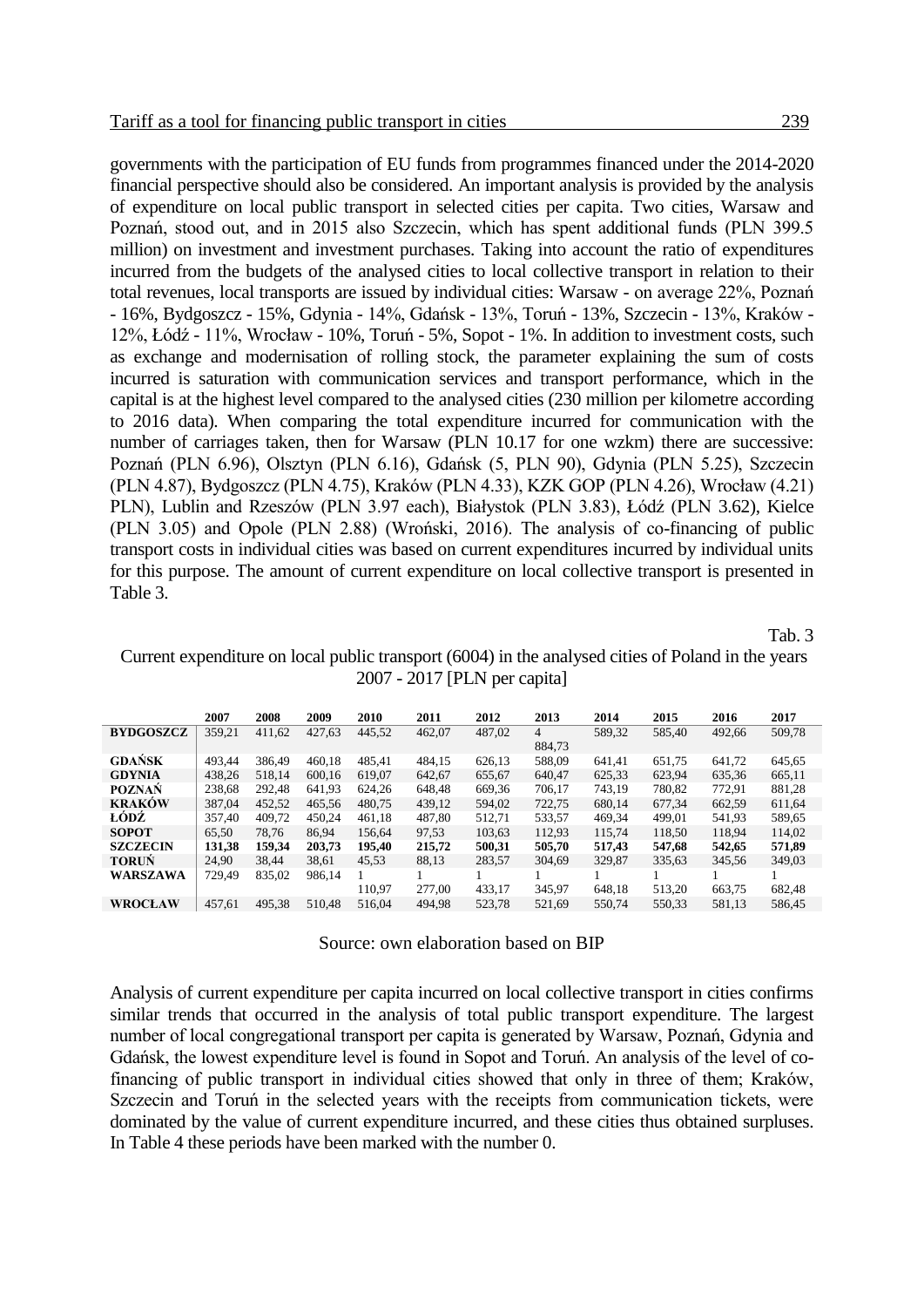governments with the participation of EU funds from programmes financed under the 2014-2020 financial perspective should also be considered. An important analysis is provided by the analysis of expenditure on local public transport in selected cities per capita. Two cities, Warsaw and Poznań, stood out, and in 2015 also Szczecin, which has spent additional funds (PLN 399.5 million) on investment and investment purchases. Taking into account the ratio of expenditures incurred from the budgets of the analysed cities to local collective transport in relation to their total revenues, local transports are issued by individual cities: Warsaw - on average 22%, Poznań - 16%, Bydgoszcz - 15%, Gdynia - 14%, Gdańsk - 13%, Toruń - 13%, Szczecin - 13%, Kraków - 12%, Łódź - 11%, Wrocław - 10%, Toruń - 5%, Sopot - 1%. In addition to investment costs, such as exchange and modernisation of rolling stock, the parameter explaining the sum of costs incurred is saturation with communication services and transport performance, which in the capital is at the highest level compared to the analysed cities (230 million per kilometre according to 2016 data). When comparing the total expenditure incurred for communication with the number of carriages taken, then for Warsaw (PLN 10.17 for one wzkm) there are successive: Poznań (PLN 6.96), Olsztyn (PLN 6.16), Gdańsk (5, PLN 90), Gdynia (PLN 5.25), Szczecin (PLN 4.87), Bydgoszcz (PLN 4.75), Kraków (PLN 4.33), KZK GOP (PLN 4.26), Wrocław (4.21) PLN), Lublin and Rzeszów (PLN 3.97 each), Białystok (PLN 3.83), Łódź (PLN 3.62), Kielce (PLN 3.05) and Opole (PLN 2.88) (Wroński, 2016). The analysis of co-financing of public transport costs in individual cities was based on current expenditures incurred by individual units for this purpose. The amount of current expenditure on local collective transport is presented in Table 3.

Tab. 3

Current expenditure on local public transport (6004) in the analysed cities of Poland in the years 2007 - 2017 [PLN per capita]

|                  | 2007   | 2008   | 2009   | 2010   | 2011   | 2012   | 2013   | 2014   | 2015   | 2016   | 2017   |
|------------------|--------|--------|--------|--------|--------|--------|--------|--------|--------|--------|--------|
| <b>BYDGOSZCZ</b> | 359,21 | 411,62 | 427,63 | 445,52 | 462,07 | 487,02 | 4      | 589.32 | 585.40 | 492,66 | 509,78 |
|                  |        |        |        |        |        |        | 884.73 |        |        |        |        |
| <b>GDANSK</b>    | 493.44 | 386.49 | 460.18 | 485.41 | 484.15 | 626,13 | 588,09 | 641.41 | 651,75 | 641,72 | 645,65 |
| <b>GDYNIA</b>    | 438,26 | 518.14 | 600.16 | 619.07 | 642,67 | 655,67 | 640.47 | 625,33 | 623.94 | 635,36 | 665,11 |
| <b>POZNAŃ</b>    | 238.68 | 292.48 | 641.93 | 624.26 | 648.48 | 669.36 | 706.17 | 743.19 | 780.82 | 772.91 | 881,28 |
| <b>KRAKÓW</b>    | 387.04 | 452.52 | 465.56 | 480.75 | 439,12 | 594.02 | 722.75 | 680.14 | 677.34 | 662.59 | 611,64 |
| ŁÓDŹ             | 357.40 | 409.72 | 450.24 | 461.18 | 487.80 | 512.71 | 533.57 | 469.34 | 499.01 | 541.93 | 589,65 |
| <b>SOPOT</b>     | 65.50  | 78.76  | 86.94  | 156.64 | 97,53  | 103.63 | 112.93 | 115.74 | 118.50 | 118.94 | 114.02 |
| <b>SZCZECIN</b>  | 131,38 | 159.34 | 203.73 | 195.40 | 215.72 | 500,31 | 505,70 | 517.43 | 547,68 | 542,65 | 571,89 |
| <b>TORUN</b>     | 24.90  | 38.44  | 38.61  | 45.53  | 88.13  | 283,57 | 304.69 | 329.87 | 335.63 | 345.56 | 349,03 |
| WARSZAWA         | 729,49 | 835,02 | 986,14 |        |        |        |        |        |        |        |        |
|                  |        |        |        | 110.97 | 277.00 | 433.17 | 345.97 | 648.18 | 513.20 | 663.75 | 682.48 |
| <b>WROCŁAW</b>   | 457,61 | 495,38 | 510.48 | 516.04 | 494.98 | 523.78 | 521.69 | 550.74 | 550.33 | 581,13 | 586.45 |
|                  |        |        |        |        |        |        |        |        |        |        |        |

Source: own elaboration based on BIP

Analysis of current expenditure per capita incurred on local collective transport in cities confirms similar trends that occurred in the analysis of total public transport expenditure. The largest number of local congregational transport per capita is generated by Warsaw, Poznań, Gdynia and Gdańsk, the lowest expenditure level is found in Sopot and Toruń. An analysis of the level of cofinancing of public transport in individual cities showed that only in three of them; Kraków, Szczecin and Toruń in the selected years with the receipts from communication tickets, were dominated by the value of current expenditure incurred, and these cities thus obtained surpluses. In Table 4 these periods have been marked with the number 0.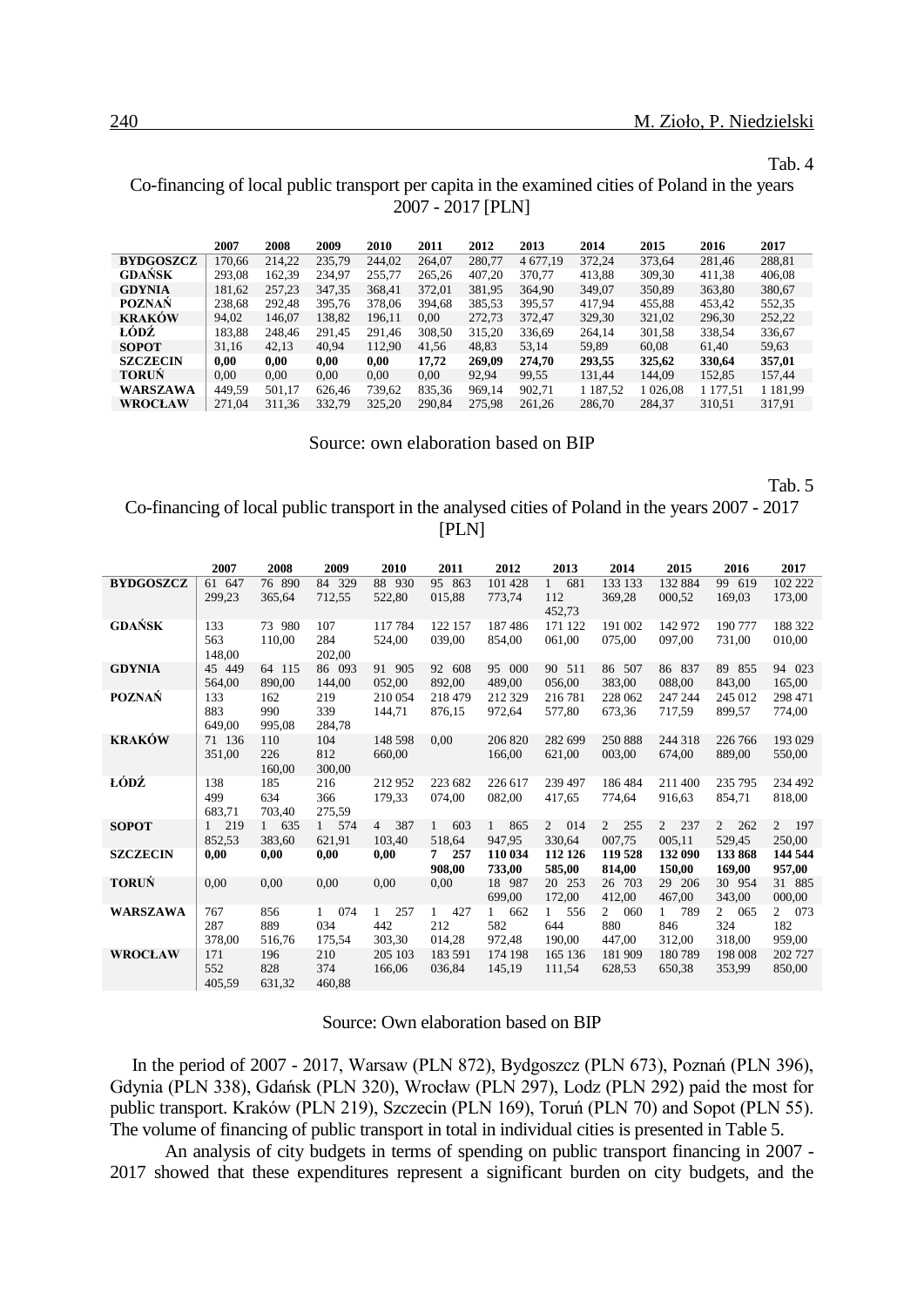#### Tab. 4

### Co-financing of local public transport per capita in the examined cities of Poland in the years 2007 - 2017 [PLN]

|                  | 2007   | 2008   | 2009   | 2010   | 2011   | 2012   | 2013     | 2014       | 2015       | 2016     | 2017          |
|------------------|--------|--------|--------|--------|--------|--------|----------|------------|------------|----------|---------------|
| <b>BYDGOSZCZ</b> | 170.66 | 214.22 | 235.79 | 244.02 | 264.07 | 280.77 | 4 677.19 | 372.24     | 373.64     | 281.46   | 288,81        |
| GDAŃSK           | 293.08 | 162.39 | 234.97 | 255.77 | 265.26 | 407.20 | 370.77   | 413,88     | 309,30     | 411,38   | 406.08        |
| <b>GDYNIA</b>    | 181,62 | 257.23 | 347.35 | 368.41 | 372,01 | 381.95 | 364.90   | 349,07     | 350,89     | 363,80   | 380,67        |
| <b>POZNAŃ</b>    | 238,68 | 292.48 | 395.76 | 378.06 | 394.68 | 385.53 | 395.57   | 417,94     | 455,88     | 453.42   | 552,35        |
| <b>KRAKÓW</b>    | 94.02  | 146.07 | 138.82 | 196.11 | 0.00   | 272,73 | 372.47   | 329,30     | 321,02     | 296,30   | 252,22        |
| LÓDZ             | 183,88 | 248.46 | 291.45 | 291.46 | 308,50 | 315.20 | 336,69   | 264,14     | 301,58     | 338,54   | 336,67        |
| <b>SOPOT</b>     | 31,16  | 42,13  | 40.94  | 112.90 | 41.56  | 48,83  | 53,14    | 59,89      | 60,08      | 61,40    | 59,63         |
| <b>SZCZECIN</b>  | 0.00   | 0.00   | 0.00   | 0.00   | 17.72  | 269.09 | 274.70   | 293,55     | 325,62     | 330,64   | 357,01        |
| <b>TORUN</b>     | 0.00   | 0,00   | 0.00   | 0,00   | 0.00   | 92,94  | 99,55    | 131,44     | 144.09     | 152,85   | 157,44        |
| WARSZAWA         | 449,59 | 501,17 | 626,46 | 739,62 | 835,36 | 969.14 | 902,71   | 1 1 87, 52 | 1 0 26 0 8 | 1 177,51 | 1 1 8 1 . 9 9 |
| WROCŁAW          | 271,04 | 311,36 | 332,79 | 325,20 | 290.84 | 275.98 | 261,26   | 286,70     | 284,37     | 310,51   | 317,91        |

Source: own elaboration based on BIP

Tab. 5

### Co-financing of local public transport in the analysed cities of Poland in the years 2007 - 2017 [PLN]

|                  | 2007                          | 2008                          | 2009                          | 2010                                 | 2011                                 | 2012                                 | 2013                      | 2014                          | 2015                                 | 2016                                 | 2017                   |
|------------------|-------------------------------|-------------------------------|-------------------------------|--------------------------------------|--------------------------------------|--------------------------------------|---------------------------|-------------------------------|--------------------------------------|--------------------------------------|------------------------|
| <b>BYDGOSZCZ</b> | 61 647<br>299,23              | 76 890<br>365,64              | 84 329<br>712,55              | 88 930<br>522,80                     | 95 863<br>015,88                     | 101 428<br>773,74                    | 1<br>681<br>112<br>452,73 | 133 133<br>369,28             | 132 884<br>000,52                    | 99 619<br>169,03                     | 102 222<br>173,00      |
| <b>GDAŃSK</b>    | 133<br>563<br>148,00          | 73 980<br>110.00              | 107<br>284<br>202,00          | 117784<br>524,00                     | 122 157<br>039.00                    | 187486<br>854.00                     | 171 122<br>061.00         | 191 002<br>075.00             | 142 972<br>097.00                    | 190 777<br>731.00                    | 188 322<br>010,00      |
| <b>GDYNIA</b>    | 45 449<br>564,00              | 64 115<br>890.00              | 86 093<br>144.00              | 91 905<br>052.00                     | 92 608<br>892.00                     | 95 000<br>489.00                     | 90 511<br>056,00          | 86 507<br>383,00              | 86 837<br>088,00                     | 89 855<br>843,00                     | 94 023<br>165,00       |
| <b>POZNAŃ</b>    | 133<br>883<br>649.00          | 162<br>990<br>995,08          | 219<br>339<br>284,78          | 210 054<br>144,71                    | 218 479<br>876.15                    | 212 329<br>972.64                    | 216 781<br>577,80         | 228 062<br>673,36             | 247 244<br>717,59                    | 245 012<br>899.57                    | 298 471<br>774,00      |
| <b>KRAKÓW</b>    | 71 136<br>351,00              | 110<br>226<br>160,00          | 104<br>812<br>300,00          | 148 598<br>660,00                    | 0,00                                 | 206 820<br>166,00                    | 282 699<br>621,00         | 250 888<br>003,00             | 244 318<br>674,00                    | 226 766<br>889.00                    | 193 029<br>550,00      |
| ŁÓDŹ             | 138<br>499<br>683,71          | 185<br>634<br>703,40          | 216<br>366<br>275,59          | 212952<br>179,33                     | 223 682<br>074.00                    | 226 617<br>082,00                    | 239 497<br>417,65         | 186484<br>774,64              | 211400<br>916,63                     | 235 795<br>854,71                    | 234 492<br>818,00      |
| <b>SOPOT</b>     | 219<br>$\mathbf{1}$<br>852,53 | 635<br>$\mathbf{1}$<br>383,60 | 574<br>$\mathbf{1}$<br>621,91 | 387<br>$4 \quad$<br>103,40           | 603<br>$\mathbf{1}$<br>518,64        | 865<br>1<br>947,95                   | 2 014<br>330,64           | 255<br>$\mathbf{2}$<br>007,75 | 2 237<br>005,11                      | $\overline{2}$<br>262<br>529,45      | 2 197<br>250,00        |
| <b>SZCZECIN</b>  | 0,00                          | 0,00                          | 0,00                          | 0,00                                 | 257<br>7<br>908.00                   | 110 034<br>733,00                    | 112 126<br>585,00         | 119 528<br>814.00             | 132 090<br>150.00                    | 133 868<br>169,00                    | 144 544<br>957,00      |
| <b>TORUŃ</b>     | 0,00                          | 0,00                          | 0,00                          | 0,00                                 | 0.00                                 | 18 987<br>699,00                     | 20 253<br>172,00          | 26 703<br>412,00              | 29 206<br>467,00                     | 30 954<br>343,00                     | 31 885<br>000,00       |
| <b>WARSZAWA</b>  | 767<br>287<br>378,00          | 856<br>889<br>516,76          | 074<br>1<br>034<br>175,54     | 257<br>$\mathbf{1}$<br>442<br>303,30 | 427<br>$\mathbf{1}$<br>212<br>014,28 | 662<br>$\mathbf{1}$<br>582<br>972,48 | 556<br>1<br>644<br>190,00 | 2<br>060<br>880<br>447,00     | 789<br>$\mathbf{1}$<br>846<br>312,00 | 065<br>$\mathbf{2}$<br>324<br>318,00 | 2 073<br>182<br>959,00 |
| <b>WROCŁAW</b>   | 171<br>552<br>405.59          | 196<br>828<br>631.32          | 210<br>374<br>460.88          | 205 103<br>166,06                    | 183 591<br>036,84                    | 174 198<br>145,19                    | 165 136<br>111,54         | 181 909<br>628,53             | 180789<br>650,38                     | 198 008<br>353,99                    | 202 727<br>850,00      |

#### Source: Own elaboration based on BIP

In the period of 2007 - 2017, Warsaw (PLN 872), Bydgoszcz (PLN 673), Poznań (PLN 396), Gdynia (PLN 338), Gdańsk (PLN 320), Wrocław (PLN 297), Lodz (PLN 292) paid the most for public transport. Kraków (PLN 219), Szczecin (PLN 169), Toruń (PLN 70) and Sopot (PLN 55). The volume of financing of public transport in total in individual cities is presented in Table 5.

An analysis of city budgets in terms of spending on public transport financing in 2007 - 2017 showed that these expenditures represent a significant burden on city budgets, and the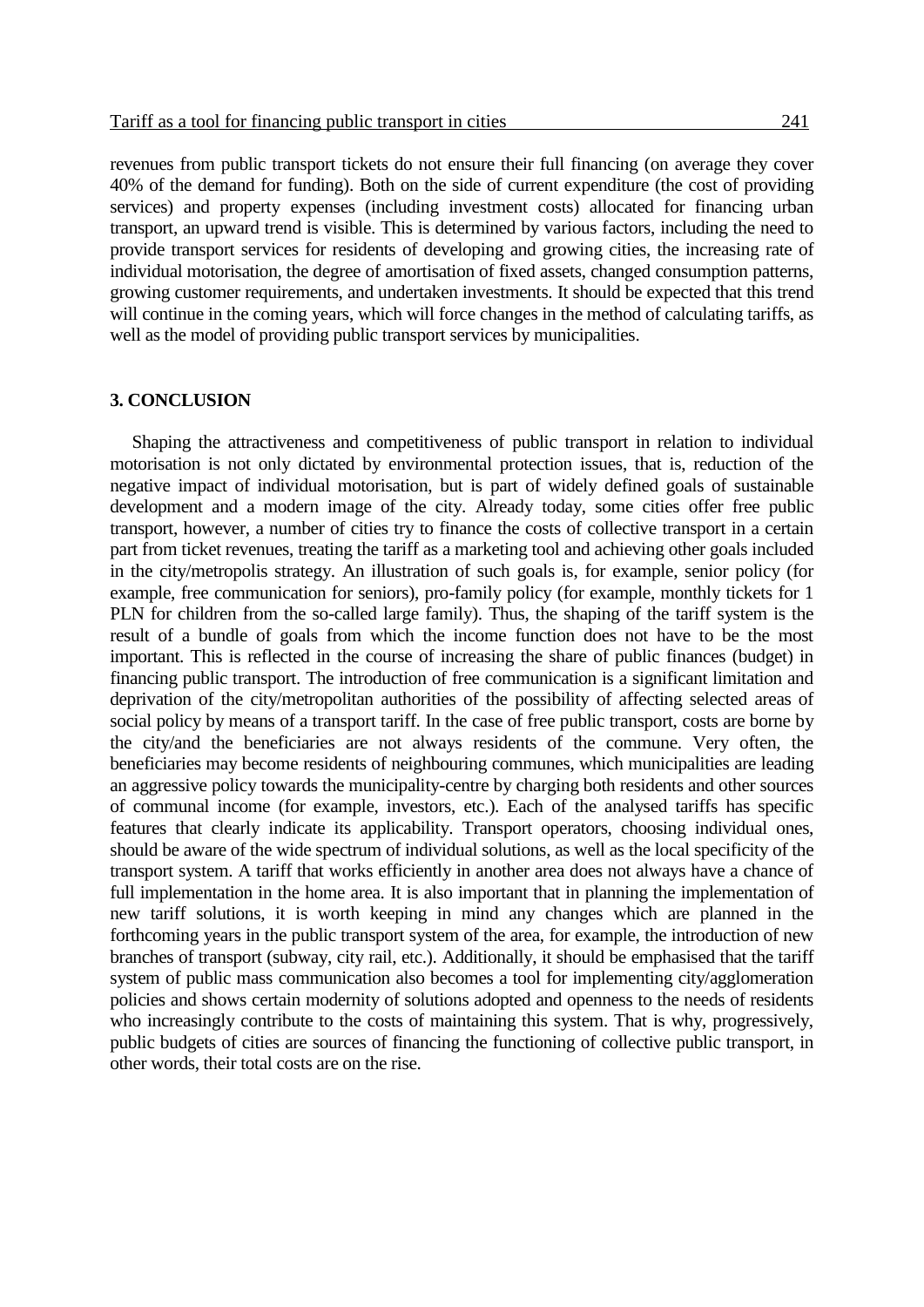revenues from public transport tickets do not ensure their full financing (on average they cover 40% of the demand for funding). Both on the side of current expenditure (the cost of providing services) and property expenses (including investment costs) allocated for financing urban transport, an upward trend is visible. This is determined by various factors, including the need to provide transport services for residents of developing and growing cities, the increasing rate of individual motorisation, the degree of amortisation of fixed assets, changed consumption patterns, growing customer requirements, and undertaken investments. It should be expected that this trend

will continue in the coming years, which will force changes in the method of calculating tariffs, as well as the model of providing public transport services by municipalities.

### **3. CONCLUSION**

Shaping the attractiveness and competitiveness of public transport in relation to individual motorisation is not only dictated by environmental protection issues, that is, reduction of the negative impact of individual motorisation, but is part of widely defined goals of sustainable development and a modern image of the city. Already today, some cities offer free public transport, however, a number of cities try to finance the costs of collective transport in a certain part from ticket revenues, treating the tariff as a marketing tool and achieving other goals included in the city/metropolis strategy. An illustration of such goals is, for example, senior policy (for example, free communication for seniors), pro-family policy (for example, monthly tickets for 1 PLN for children from the so-called large family). Thus, the shaping of the tariff system is the result of a bundle of goals from which the income function does not have to be the most important. This is reflected in the course of increasing the share of public finances (budget) in financing public transport. The introduction of free communication is a significant limitation and deprivation of the city/metropolitan authorities of the possibility of affecting selected areas of social policy by means of a transport tariff. In the case of free public transport, costs are borne by the city/and the beneficiaries are not always residents of the commune. Very often, the beneficiaries may become residents of neighbouring communes, which municipalities are leading an aggressive policy towards the municipality-centre by charging both residents and other sources of communal income (for example, investors, etc.). Each of the analysed tariffs has specific features that clearly indicate its applicability. Transport operators, choosing individual ones, should be aware of the wide spectrum of individual solutions, as well as the local specificity of the transport system. A tariff that works efficiently in another area does not always have a chance of full implementation in the home area. It is also important that in planning the implementation of new tariff solutions, it is worth keeping in mind any changes which are planned in the forthcoming years in the public transport system of the area, for example, the introduction of new branches of transport (subway, city rail, etc.). Additionally, it should be emphasised that the tariff system of public mass communication also becomes a tool for implementing city/agglomeration policies and shows certain modernity of solutions adopted and openness to the needs of residents who increasingly contribute to the costs of maintaining this system. That is why, progressively, public budgets of cities are sources of financing the functioning of collective public transport, in other words, their total costs are on the rise.